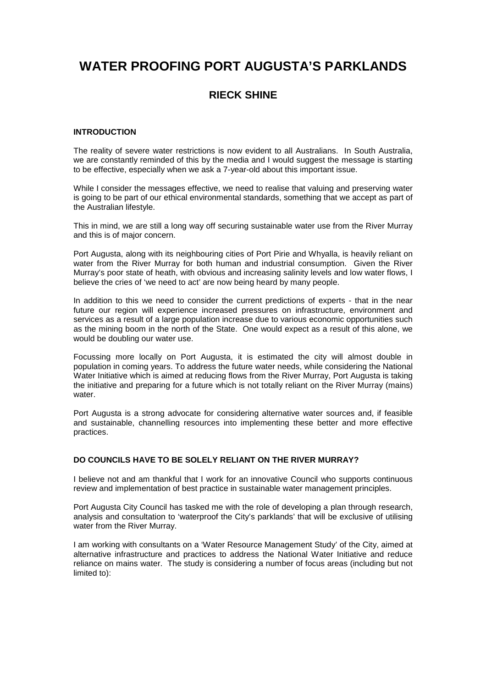# **WATER PROOFING PORT AUGUSTA'S PARKLANDS**

# **RIECK SHINE**

#### **INTRODUCTION**

The reality of severe water restrictions is now evident to all Australians. In South Australia, we are constantly reminded of this by the media and I would suggest the message is starting to be effective, especially when we ask a 7-year-old about this important issue.

While I consider the messages effective, we need to realise that valuing and preserving water is going to be part of our ethical environmental standards, something that we accept as part of the Australian lifestyle.

This in mind, we are still a long way off securing sustainable water use from the River Murray and this is of major concern.

Port Augusta, along with its neighbouring cities of Port Pirie and Whyalla, is heavily reliant on water from the River Murray for both human and industrial consumption. Given the River Murray's poor state of heath, with obvious and increasing salinity levels and low water flows, I believe the cries of 'we need to act' are now being heard by many people.

In addition to this we need to consider the current predictions of experts - that in the near future our region will experience increased pressures on infrastructure, environment and services as a result of a large population increase due to various economic opportunities such as the mining boom in the north of the State. One would expect as a result of this alone, we would be doubling our water use.

Focussing more locally on Port Augusta, it is estimated the city will almost double in population in coming years. To address the future water needs, while considering the National Water Initiative which is aimed at reducing flows from the River Murray, Port Augusta is taking the initiative and preparing for a future which is not totally reliant on the River Murray (mains) water.

Port Augusta is a strong advocate for considering alternative water sources and, if feasible and sustainable, channelling resources into implementing these better and more effective practices.

# **DO COUNCILS HAVE TO BE SOLELY RELIANT ON THE RIVER MURRAY?**

I believe not and am thankful that I work for an innovative Council who supports continuous review and implementation of best practice in sustainable water management principles.

Port Augusta City Council has tasked me with the role of developing a plan through research, analysis and consultation to 'waterproof the City's parklands' that will be exclusive of utilising water from the River Murray.

I am working with consultants on a 'Water Resource Management Study' of the City, aimed at alternative infrastructure and practices to address the National Water Initiative and reduce reliance on mains water. The study is considering a number of focus areas (including but not limited to):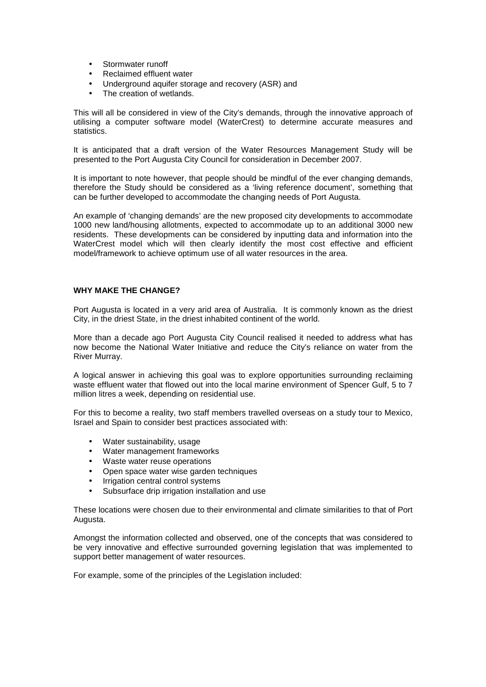- Stormwater runoff
- Reclaimed effluent water
- Underground aquifer storage and recovery (ASR) and
- The creation of wetlands.

This will all be considered in view of the City's demands, through the innovative approach of utilising a computer software model (WaterCrest) to determine accurate measures and statistics.

It is anticipated that a draft version of the Water Resources Management Study will be presented to the Port Augusta City Council for consideration in December 2007.

It is important to note however, that people should be mindful of the ever changing demands, therefore the Study should be considered as a 'living reference document', something that can be further developed to accommodate the changing needs of Port Augusta.

An example of 'changing demands' are the new proposed city developments to accommodate 1000 new land/housing allotments, expected to accommodate up to an additional 3000 new residents. These developments can be considered by inputting data and information into the WaterCrest model which will then clearly identify the most cost effective and efficient model/framework to achieve optimum use of all water resources in the area.

# **WHY MAKE THE CHANGE?**

Port Augusta is located in a very arid area of Australia. It is commonly known as the driest City, in the driest State, in the driest inhabited continent of the world.

More than a decade ago Port Augusta City Council realised it needed to address what has now become the National Water Initiative and reduce the City's reliance on water from the River Murray.

A logical answer in achieving this goal was to explore opportunities surrounding reclaiming waste effluent water that flowed out into the local marine environment of Spencer Gulf, 5 to 7 million litres a week, depending on residential use.

For this to become a reality, two staff members travelled overseas on a study tour to Mexico, Israel and Spain to consider best practices associated with:

- Water sustainability, usage
- Water management frameworks
- Waste water reuse operations
- Open space water wise garden techniques
- Irrigation central control systems
- Subsurface drip irrigation installation and use

These locations were chosen due to their environmental and climate similarities to that of Port Augusta.

Amongst the information collected and observed, one of the concepts that was considered to be very innovative and effective surrounded governing legislation that was implemented to support better management of water resources.

For example, some of the principles of the Legislation included: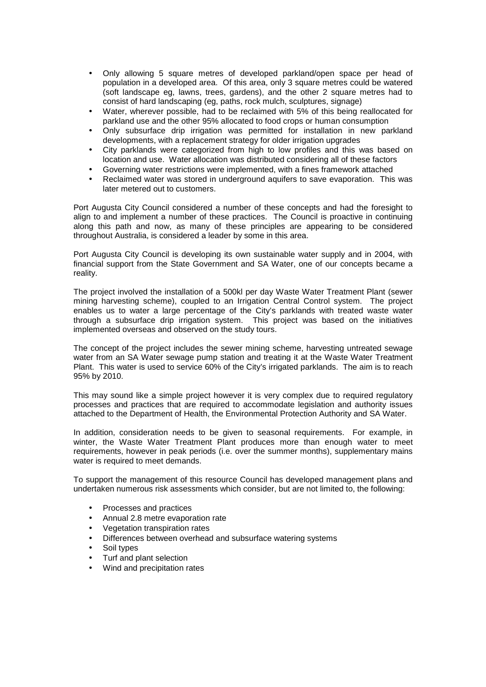- Only allowing 5 square metres of developed parkland/open space per head of population in a developed area. Of this area, only 3 square metres could be watered (soft landscape eg, lawns, trees, gardens), and the other 2 square metres had to consist of hard landscaping (eg, paths, rock mulch, sculptures, signage)
- Water, wherever possible, had to be reclaimed with 5% of this being reallocated for parkland use and the other 95% allocated to food crops or human consumption
- Only subsurface drip irrigation was permitted for installation in new parkland developments, with a replacement strategy for older irrigation upgrades
- City parklands were categorized from high to low profiles and this was based on location and use. Water allocation was distributed considering all of these factors
- Governing water restrictions were implemented, with a fines framework attached
- Reclaimed water was stored in underground aquifers to save evaporation. This was later metered out to customers.

Port Augusta City Council considered a number of these concepts and had the foresight to align to and implement a number of these practices. The Council is proactive in continuing along this path and now, as many of these principles are appearing to be considered throughout Australia, is considered a leader by some in this area.

Port Augusta City Council is developing its own sustainable water supply and in 2004, with financial support from the State Government and SA Water, one of our concepts became a reality.

The project involved the installation of a 500kl per day Waste Water Treatment Plant (sewer mining harvesting scheme), coupled to an Irrigation Central Control system. The project enables us to water a large percentage of the City's parklands with treated waste water through a subsurface drip irrigation system. This project was based on the initiatives implemented overseas and observed on the study tours.

The concept of the project includes the sewer mining scheme, harvesting untreated sewage water from an SA Water sewage pump station and treating it at the Waste Water Treatment Plant. This water is used to service 60% of the City's irrigated parklands. The aim is to reach 95% by 2010.

This may sound like a simple project however it is very complex due to required regulatory processes and practices that are required to accommodate legislation and authority issues attached to the Department of Health, the Environmental Protection Authority and SA Water.

In addition, consideration needs to be given to seasonal requirements. For example, in winter, the Waste Water Treatment Plant produces more than enough water to meet requirements, however in peak periods (i.e. over the summer months), supplementary mains water is required to meet demands.

To support the management of this resource Council has developed management plans and undertaken numerous risk assessments which consider, but are not limited to, the following:

- Processes and practices
- Annual 2.8 metre evaporation rate
- Vegetation transpiration rates
- Differences between overhead and subsurface watering systems
- Soil types
- Turf and plant selection
- Wind and precipitation rates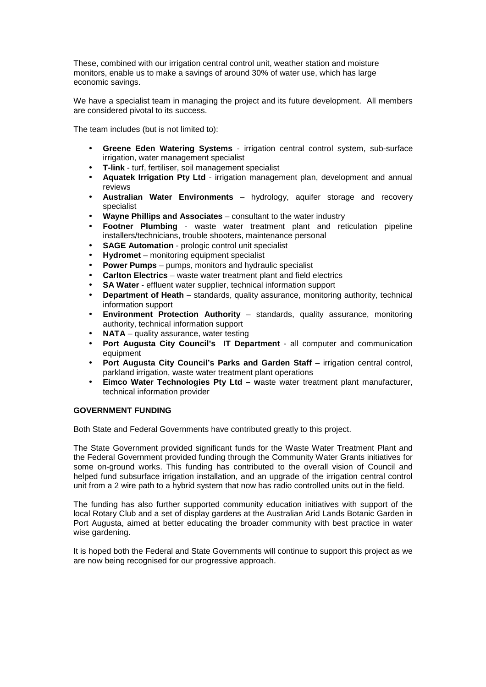These, combined with our irrigation central control unit, weather station and moisture monitors, enable us to make a savings of around 30% of water use, which has large economic savings.

We have a specialist team in managing the project and its future development. All members are considered pivotal to its success.

The team includes (but is not limited to):

- **Greene Eden Watering Systems**  irrigation central control system, sub-surface irrigation, water management specialist
- **T-link** turf, fertiliser, soil management specialist
- **Aquatek Irrigation Pty Ltd**  irrigation management plan, development and annual reviews
- **Australian Water Environments**  hydrology, aquifer storage and recovery specialist
- **Wayne Phillips and Associates** consultant to the water industry
- **Footner Plumbing** waste water treatment plant and reticulation pipeline installers/technicians, trouble shooters, maintenance personal
- **SAGE Automation** prologic control unit specialist
- **Hydromet**  monitoring equipment specialist
- **Power Pumps** pumps, monitors and hydraulic specialist
- **Carlton Electrics** waste water treatment plant and field electrics
- **SA Water** effluent water supplier, technical information support
- **Department of Heath** standards, quality assurance, monitoring authority, technical information support
- **Environment Protection Authority** standards, quality assurance, monitoring authority, technical information support
- NATA quality assurance, water testing
- **Port Augusta City Council's IT Department** all computer and communication equipment
- **Port Augusta City Council's Parks and Garden Staff** irrigation central control, parkland irrigation, waste water treatment plant operations
- **Eimco Water Technologies Pty Ltd waste water treatment plant manufacturer.** technical information provider

#### **GOVERNMENT FUNDING**

Both State and Federal Governments have contributed greatly to this project.

The State Government provided significant funds for the Waste Water Treatment Plant and the Federal Government provided funding through the Community Water Grants initiatives for some on-ground works. This funding has contributed to the overall vision of Council and helped fund subsurface irrigation installation, and an upgrade of the irrigation central control unit from a 2 wire path to a hybrid system that now has radio controlled units out in the field.

The funding has also further supported community education initiatives with support of the local Rotary Club and a set of display gardens at the Australian Arid Lands Botanic Garden in Port Augusta, aimed at better educating the broader community with best practice in water wise gardening.

It is hoped both the Federal and State Governments will continue to support this project as we are now being recognised for our progressive approach.